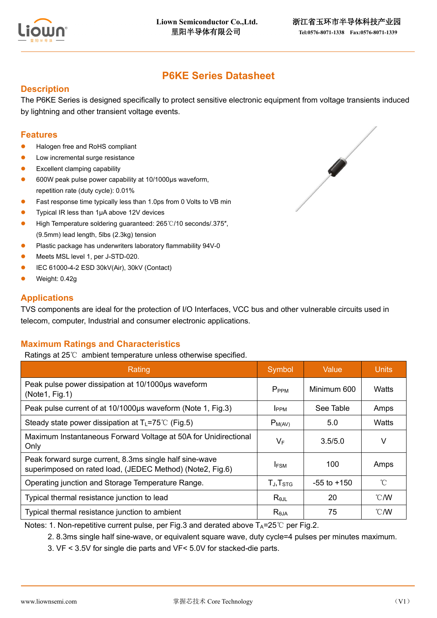

 $\mathscr{A}$ 

# **P6KE Series Datasheet**

### **Description**

The P6KE Series is designed specifically to protect sensitive electronic equipment from voltage transients induced by lightning and other transient voltage events.

### **Features**

- Halogen free and RoHS compliant
- ⚫ Low incremental surge resistance
- Excellent clamping capability
- ⚫ 600W peak pulse power capability at 10/1000μs waveform, repetition rate (duty cycle): 0.01%
- Fast response time typically less than 1.0ps from 0 Volts to VB min
- ⚫ Typical IR less than 1μA above 12V devices
- ⚫ High Temperature soldering guaranteed: 265℃/10 seconds/.375″, (9.5mm) lead length, 5lbs (2.3kg) tension
- ⚫ Plastic package has underwriters laboratory flammability 94V-0
- ⚫ Meets MSL level 1, per J-STD-020.
- ⚫ IEC 61000-4-2 ESD 30kV(Air), 30kV (Contact)
- ⚫ Weight: 0.42g

### **Applications**

TVS components are ideal for the protection of I/O Interfaces, VCC bus and other vulnerable circuits used in telecom, computer, Industrial and consumer electronic applications.

## **Maximum Ratings and Characteristics**

Ratings at 25℃ ambient temperature unless otherwise specified.

| Rating                                                                                                               | Symbol            | Value           | <b>Units</b>  |
|----------------------------------------------------------------------------------------------------------------------|-------------------|-----------------|---------------|
| Peak pulse power dissipation at 10/1000us waveform<br>(Note1, Fig.1)                                                 | P <sub>PPM</sub>  | Minimum 600     | Watts         |
| Peak pulse current of at 10/1000µs waveform (Note 1, Fig.3)                                                          | <b>IPPM</b>       | See Table       | Amps          |
| Steady state power dissipation at $T_L = 75^{\circ}C$ (Fig.5)                                                        | $P_{M(AV)}$       | 5.0             | Watts         |
| Maximum Instantaneous Forward Voltage at 50A for Unidirectional<br>Only                                              | $V_F$             | 3.5/5.0         | V             |
| Peak forward surge current, 8.3ms single half sine-wave<br>superimposed on rated load, (JEDEC Method) (Note2, Fig.6) | <b>IFSM</b>       | 100             | Amps          |
| Operating junction and Storage Temperature Range.                                                                    | $T_J$ , $T_{STG}$ | $-55$ to $+150$ | $^{\circ}$ C  |
| Typical thermal resistance junction to lead                                                                          | $R_{\theta$ JL    | 20              | $\degree$ C/W |
| Typical thermal resistance junction to ambient                                                                       | $R_{\theta$ JA    | 75              | $\degree$ C/W |

Notes: 1. Non-repetitive current pulse, per Fig.3 and derated above  $T_A=25^\circ \text{C}$  per Fig.2.

- 2. 8.3ms single half sine-wave, or equivalent square wave, duty cycle=4 pulses per minutes maximum.
- 3. VF < 3.5V for single die parts and VF< 5.0V for stacked-die parts.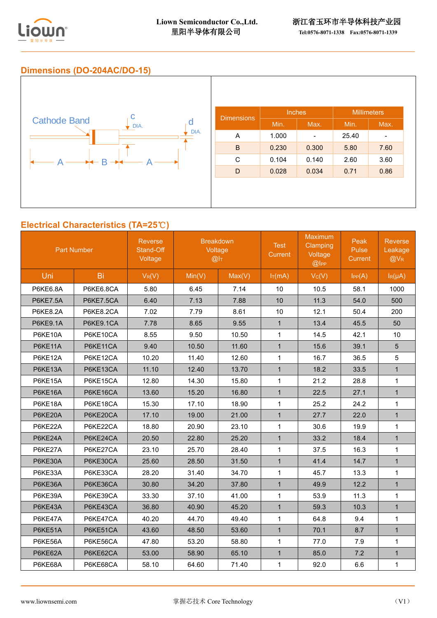

### **Dimensions (DO-204AC/DO-15)**



## **Electrical Characteristics (TA=25**℃**)**

| <b>Part Number</b> |           | <b>Reverse</b><br>Stand-Off<br>Voltage | <b>Breakdown</b><br>Voltage<br>@I <sub>T</sub> |        | <b>Test</b><br>Current | Maximum<br>Clamping<br>Voltage<br>@ | Peak<br>Pulse<br><b>Current</b> | <b>Reverse</b><br>Leakage<br>$@V_R$ |
|--------------------|-----------|----------------------------------------|------------------------------------------------|--------|------------------------|-------------------------------------|---------------------------------|-------------------------------------|
| Uni                | Bi        | $V_R(V)$                               | Min(V)                                         | Max(V) | $I_T(mA)$              | Vc(V)                               | IPP(A)                          | $I_R(\mu A)$                        |
| <b>P6KE6.8A</b>    | P6KE6.8CA | 5.80                                   | 6.45                                           | 7.14   | 10                     | 10.5                                | 58.1                            | 1000                                |
| <b>P6KE7.5A</b>    | P6KE7.5CA | 6.40                                   | 7.13                                           | 7.88   | 10                     | 11.3                                | 54.0                            | 500                                 |
| <b>P6KE8.2A</b>    | P6KE8.2CA | 7.02                                   | 7.79                                           | 8.61   | 10                     | 12.1                                | 50.4                            | 200                                 |
| <b>P6KE9.1A</b>    | P6KE9.1CA | 7.78                                   | 8.65                                           | 9.55   | $\mathbf{1}$           | 13.4                                | 45.5                            | 50                                  |
| P6KE10A            | P6KE10CA  | 8.55                                   | 9.50                                           | 10.50  | $\mathbf{1}$           | 14.5                                | 42.1                            | 10                                  |
| <b>P6KE11A</b>     | P6KE11CA  | 9.40                                   | 10.50                                          | 11.60  | $\mathbf{1}$           | 15.6                                | 39.1                            | 5                                   |
| P6KE12A            | P6KE12CA  | 10.20                                  | 11.40                                          | 12.60  | $\mathbf{1}$           | 16.7                                | 36.5                            | 5                                   |
| P6KE13A            | P6KE13CA  | 11.10                                  | 12.40                                          | 13.70  | $\mathbf{1}$           | 18.2                                | 33.5                            | $\mathbf{1}$                        |
| P6KE15A            | P6KE15CA  | 12.80                                  | 14.30                                          | 15.80  | $\mathbf{1}$           | 21.2                                | 28.8                            | $\mathbf{1}$                        |
| P6KE16A            | P6KE16CA  | 13.60                                  | 15.20                                          | 16.80  | $\mathbf{1}$           | 22.5                                | 27.1                            | $\mathbf{1}$                        |
| P6KE18A            | P6KE18CA  | 15.30                                  | 17.10                                          | 18.90  | $\mathbf{1}$           | 25.2                                | 24.2                            | $\mathbf{1}$                        |
| P6KE20A            | P6KE20CA  | 17.10                                  | 19.00                                          | 21.00  | $\mathbf{1}$           | 27.7                                | 22.0                            | $\mathbf{1}$                        |
| P6KE22A            | P6KE22CA  | 18.80                                  | 20.90                                          | 23.10  | $\mathbf{1}$           | 30.6                                | 19.9                            | $\mathbf{1}$                        |
| P6KE24A            | P6KE24CA  | 20.50                                  | 22.80                                          | 25.20  | $\mathbf{1}$           | 33.2                                | 18.4                            | $\mathbf{1}$                        |
| P6KE27A            | P6KE27CA  | 23.10                                  | 25.70                                          | 28.40  | $\mathbf{1}$           | 37.5                                | 16.3                            | 1                                   |
| P6KE30A            | P6KE30CA  | 25.60                                  | 28.50                                          | 31.50  | $\mathbf{1}$           | 41.4                                | 14.7                            | $\mathbf{1}$                        |
| P6KE33A            | P6KE33CA  | 28.20                                  | 31.40                                          | 34.70  | $\mathbf{1}$           | 45.7                                | 13.3                            | $\mathbf{1}$                        |
| P6KE36A            | P6KE36CA  | 30.80                                  | 34.20                                          | 37.80  | $\mathbf{1}$           | 49.9                                | 12.2                            | $\mathbf{1}$                        |
| P6KE39A            | P6KE39CA  | 33.30                                  | 37.10                                          | 41.00  | $\mathbf{1}$           | 53.9                                | 11.3                            | $\mathbf{1}$                        |
| P6KE43A            | P6KE43CA  | 36.80                                  | 40.90                                          | 45.20  | $\mathbf{1}$           | 59.3                                | 10.3                            | $\mathbf{1}$                        |
| P6KE47A            | P6KE47CA  | 40.20                                  | 44.70                                          | 49.40  | $\mathbf{1}$           | 64.8                                | 9.4                             | $\mathbf{1}$                        |
| P6KE51A            | P6KE51CA  | 43.60                                  | 48.50                                          | 53.60  | $\mathbf{1}$           | 70.1                                | 8.7                             | $\mathbf{1}$                        |
| P6KE56A            | P6KE56CA  | 47.80                                  | 53.20                                          | 58.80  | $\mathbf{1}$           | 77.0                                | 7.9                             | 1                                   |
| P6KE62A            | P6KE62CA  | 53.00                                  | 58.90                                          | 65.10  | $\mathbf{1}$           | 85.0                                | 7.2                             | $\mathbf{1}$                        |
| P6KE68A            | P6KE68CA  | 58.10                                  | 64.60                                          | 71.40  | $\mathbf{1}$           | 92.0                                | 6.6                             | $\mathbf{1}$                        |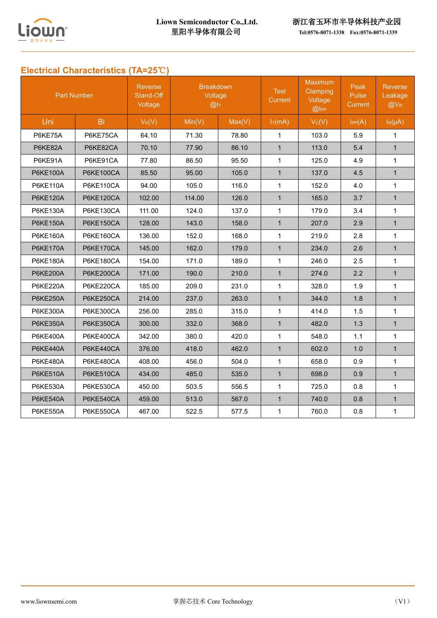

# **Electrical Characteristics (TA=25**℃**)**

| <b>Part Number</b> |                  | <b>Reverse</b><br>Stand-Off<br>Voltage | <b>Breakdown</b><br>Voltage<br>@I <sub>T</sub> |        | <b>Test</b><br><b>Current</b> | Maximum<br>Clamping<br>Voltage<br>$@$ l <sub>PP</sub> | Peak<br>Pulse<br>Current | <b>Reverse</b><br>Leakage<br>$@V_{R}$ |
|--------------------|------------------|----------------------------------------|------------------------------------------------|--------|-------------------------------|-------------------------------------------------------|--------------------------|---------------------------------------|
| Uni                | <b>Bi</b>        | $V_R(V)$                               | Min(V)                                         | Max(V) | $I_T(mA)$                     | $V_C(V)$                                              | $I_{PP}(A)$              | $I_R(\mu A)$                          |
| P6KE75A            | P6KE75CA         | 64.10                                  | 71.30                                          | 78.80  | $\mathbf{1}$                  | 103.0                                                 | 5.9                      | 1                                     |
| P6KE82A            | P6KE82CA         | 70.10                                  | 77.90                                          | 86.10  | $\mathbf{1}$                  | 113.0                                                 | 5.4                      | $\mathbf{1}$                          |
| P6KE91A            | P6KE91CA         | 77.80                                  | 86.50                                          | 95.50  | $\mathbf{1}$                  | 125.0                                                 | 4.9                      | $\mathbf{1}$                          |
| <b>P6KE100A</b>    | <b>P6KE100CA</b> | 85.50                                  | 95.00                                          | 105.0  | $\mathbf{1}$                  | 137.0                                                 | 4.5                      | $\mathbf{1}$                          |
| <b>P6KE110A</b>    | P6KE110CA        | 94.00                                  | 105.0                                          | 116.0  | $\mathbf{1}$                  | 152.0                                                 | 4.0                      | $\mathbf{1}$                          |
| <b>P6KE120A</b>    | <b>P6KE120CA</b> | 102.00                                 | 114.00                                         | 126.0  | $\mathbf{1}$                  | 165.0                                                 | 3.7                      | $\mathbf{1}$                          |
| P6KE130A           | <b>P6KE130CA</b> | 111.00                                 | 124.0                                          | 137.0  | $\mathbf{1}$                  | 179.0                                                 | 3.4                      | $\mathbf{1}$                          |
| <b>P6KE150A</b>    | P6KE150CA        | 128.00                                 | 143.0                                          | 158.0  | $\mathbf{1}$                  | 207.0                                                 | 2.9                      | $\mathbf{1}$                          |
| P6KE160A           | <b>P6KE160CA</b> | 136.00                                 | 152.0                                          | 168.0  | $\mathbf{1}$                  | 219.0                                                 | 2.8                      | $\mathbf{1}$                          |
| <b>P6KE170A</b>    | <b>P6KE170CA</b> | 145.00                                 | 162.0                                          | 179.0  | $\mathbf{1}$                  | 234.0                                                 | 2.6                      | $\mathbf{1}$                          |
| <b>P6KE180A</b>    | <b>P6KE180CA</b> | 154.00                                 | 171.0                                          | 189.0  | $\mathbf{1}$                  | 246.0                                                 | 2.5                      | $\mathbf{1}$                          |
| <b>P6KE200A</b>    | P6KE200CA        | 171.00                                 | 190.0                                          | 210.0  | $\mathbf{1}$                  | 274.0                                                 | 2.2                      | $\mathbf{1}$                          |
| <b>P6KE220A</b>    | P6KE220CA        | 185.00                                 | 209.0                                          | 231.0  | $\mathbf{1}$                  | 328.0                                                 | 1.9                      | $\mathbf{1}$                          |
| <b>P6KE250A</b>    | P6KE250CA        | 214.00                                 | 237.0                                          | 263.0  | $\mathbf{1}$                  | 344.0                                                 | 1.8                      | $\mathbf{1}$                          |
| <b>P6KE300A</b>    | <b>P6KE300CA</b> | 256.00                                 | 285.0                                          | 315.0  | $\mathbf{1}$                  | 414.0                                                 | 1.5                      | $\mathbf{1}$                          |
| <b>P6KE350A</b>    | <b>P6KE350CA</b> | 300.00                                 | 332.0                                          | 368.0  | $\mathbf{1}$                  | 482.0                                                 | 1.3                      | $\mathbf{1}$                          |
| <b>P6KE400A</b>    | P6KE400CA        | 342.00                                 | 380.0                                          | 420.0  | $\mathbf{1}$                  | 548.0                                                 | 1.1                      | $\mathbf{1}$                          |
| <b>P6KE440A</b>    | P6KE440CA        | 376.00                                 | 418.0                                          | 462.0  | $\mathbf{1}$                  | 602.0                                                 | 1.0                      | $\mathbf{1}$                          |
| <b>P6KE480A</b>    | P6KE480CA        | 408.00                                 | 456.0                                          | 504.0  | $\mathbf{1}$                  | 658.0                                                 | 0.9                      | $\mathbf{1}$                          |
| <b>P6KE510A</b>    | P6KE510CA        | 434.00                                 | 485.0                                          | 535.0  | $\mathbf{1}$                  | 698.0                                                 | 0.9                      | $\mathbf{1}$                          |
| <b>P6KE530A</b>    | P6KE530CA        | 450.00                                 | 503.5                                          | 556.5  | $\mathbf{1}$                  | 725.0                                                 | 0.8                      | $\mathbf{1}$                          |
| <b>P6KE540A</b>    | P6KE540CA        | 459.00                                 | 513.0                                          | 567.0  | $\mathbf{1}$                  | 740.0                                                 | 0.8                      | $\mathbf{1}$                          |
| <b>P6KE550A</b>    | P6KE550CA        | 467.00                                 | 522.5                                          | 577.5  | $\mathbf{1}$                  | 760.0                                                 | 0.8                      | $\mathbf 1$                           |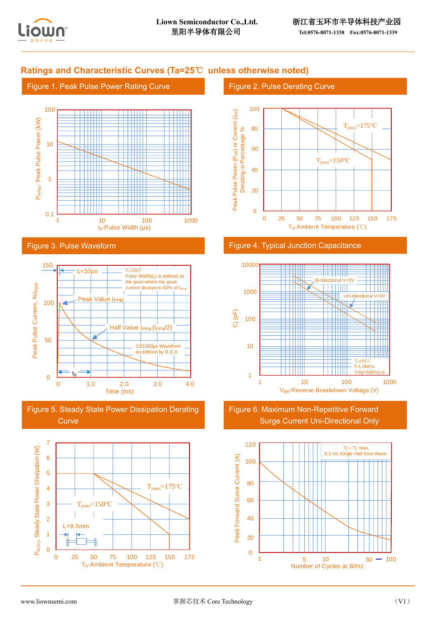

## **Ratings and Characteristic Curves (Ta=25**℃ **unless otherwise noted)**

#### Figure 1. Peak Pulse Power Rating Curve



#### Figure 3. Pulse Waveform



Figure 5. Steady State Power Dissipation Derating **Curve** 



### Figure 2. Pulse Derating Curve



#### Figure 4. Typical Junction Capacitance



Figure 6. Maximum Non-Repetitive Forward Surge Current Uni-Directional Only

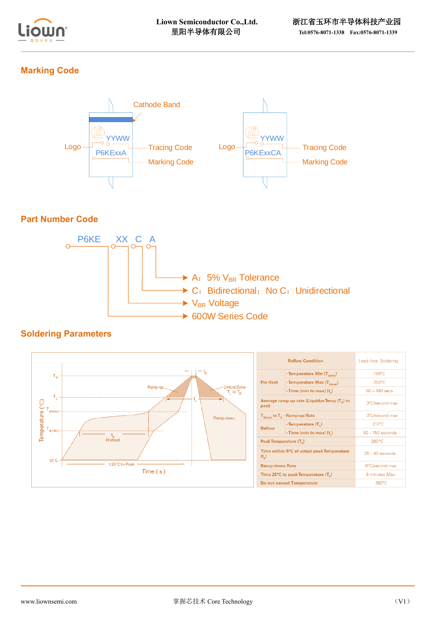

## **Marking Code**



## **Part Number Code**



## **Soldering Parameters**